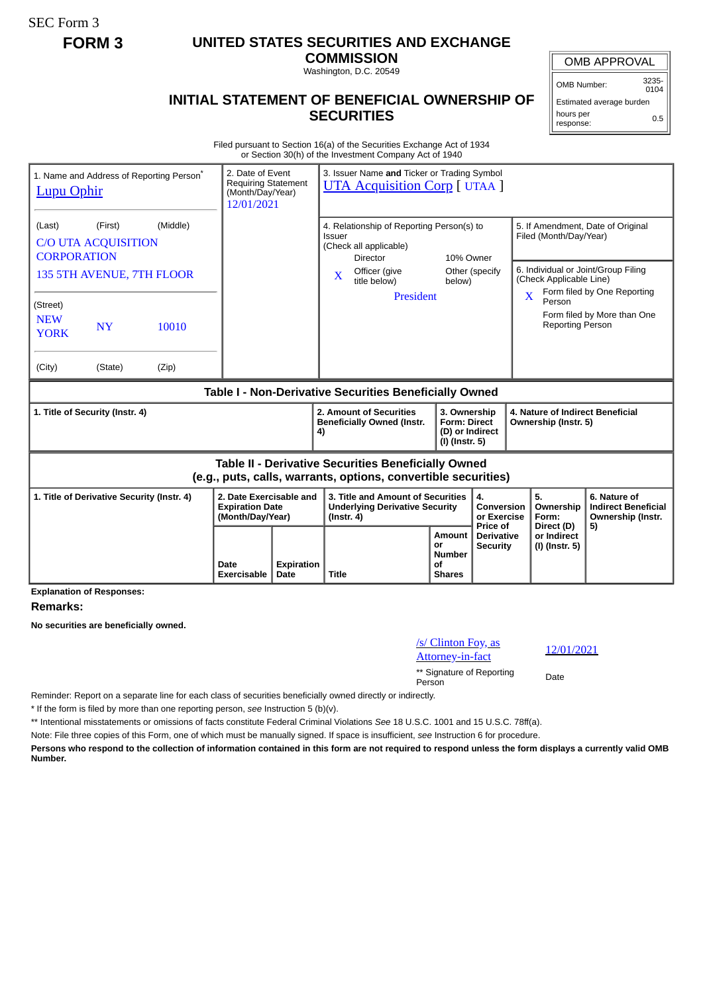SEC Form 3

## **FORM 3 UNITED STATES SECURITIES AND EXCHANGE**

**COMMISSION** Washington, D.C. 20549

# **INITIAL STATEMENT OF BENEFICIAL OWNERSHIP OF SECURITIES**

OMB APPROVAL

OMB Number: 3235-  $0104$ 

Estimated average burden hours per response: 0.5

#### Filed pursuant to Section 16(a) of the Securities Exchange Act of 1934 or Section 30(h) of the Investment Company Act of 1940

| 1. Name and Address of Reporting Person <sup>®</sup><br><b>Lupu Ophir</b>                                                    |                                                                       | 2. Date of Event<br>3. Issuer Name and Ticker or Trading Symbol<br><b>Requiring Statement</b><br><b>UTA Acquisition Corp</b> [ UTAA ]<br>(Month/Day/Year)<br>12/01/2021 |                                                                                                                                                  |                                                                          |                                             |                                                                                                                                 |                                                                 |  |
|------------------------------------------------------------------------------------------------------------------------------|-----------------------------------------------------------------------|-------------------------------------------------------------------------------------------------------------------------------------------------------------------------|--------------------------------------------------------------------------------------------------------------------------------------------------|--------------------------------------------------------------------------|---------------------------------------------|---------------------------------------------------------------------------------------------------------------------------------|-----------------------------------------------------------------|--|
| (First)<br>(Middle)<br>(Last)<br><b>C/O UTA ACQUISITION</b><br><b>CORPORATION</b>                                            |                                                                       |                                                                                                                                                                         | 4. Relationship of Reporting Person(s) to<br><b>Issuer</b><br>(Check all applicable)<br>10% Owner<br>Director<br>Officer (give<br>Other (specify |                                                                          |                                             | 5. If Amendment, Date of Original<br>Filed (Month/Day/Year)<br>6. Individual or Joint/Group Filing                              |                                                                 |  |
| 135 5TH AVENUE, 7TH FLOOR<br>(Street)<br><b>NEW</b><br>10010<br><b>NY</b><br><b>YORK</b>                                     |                                                                       |                                                                                                                                                                         | $\mathbf{X}$<br>title below)<br><b>President</b>                                                                                                 | below)                                                                   |                                             | (Check Applicable Line)<br>Form filed by One Reporting<br>X<br>Person<br>Form filed by More than One<br><b>Reporting Person</b> |                                                                 |  |
| (City)<br>(State)<br>(Zip)                                                                                                   |                                                                       |                                                                                                                                                                         |                                                                                                                                                  |                                                                          |                                             |                                                                                                                                 |                                                                 |  |
| Table I - Non-Derivative Securities Beneficially Owned                                                                       |                                                                       |                                                                                                                                                                         |                                                                                                                                                  |                                                                          |                                             |                                                                                                                                 |                                                                 |  |
| 1. Title of Security (Instr. 4)                                                                                              |                                                                       |                                                                                                                                                                         | 2. Amount of Securities<br><b>Beneficially Owned (Instr.</b><br>4)                                                                               | 3. Ownership<br><b>Form: Direct</b><br>(D) or Indirect<br>(I) (Instr. 5) |                                             | 4. Nature of Indirect Beneficial<br>Ownership (Instr. 5)                                                                        |                                                                 |  |
| <b>Table II - Derivative Securities Beneficially Owned</b><br>(e.g., puts, calls, warrants, options, convertible securities) |                                                                       |                                                                                                                                                                         |                                                                                                                                                  |                                                                          |                                             |                                                                                                                                 |                                                                 |  |
| 1. Title of Derivative Security (Instr. 4)                                                                                   | 2. Date Exercisable and<br><b>Expiration Date</b><br>(Month/Day/Year) |                                                                                                                                                                         | 3. Title and Amount of Securities<br><b>Underlying Derivative Security</b><br>$($ lnstr. 4 $)$                                                   |                                                                          | 4.<br>Conversion<br>or Exercise<br>Price of | 5.<br>Ownership<br>Form:                                                                                                        | 6. Nature of<br><b>Indirect Beneficial</b><br>Ownership (Instr. |  |
|                                                                                                                              | Date<br>Exercisable                                                   | <b>Expiration</b><br>Date                                                                                                                                               | <b>Title</b>                                                                                                                                     | Amount<br>or<br><b>Number</b><br>οf<br><b>Shares</b>                     | <b>Derivative</b><br><b>Security</b>        | Direct (D)<br>or Indirect<br>(I) (Instr. 5)                                                                                     | 5)                                                              |  |

**Explanation of Responses:**

### **Remarks:**

**No securities are beneficially owned.**

| /s/ Clinton Foy, as<br><u>Attorney-in-fact</u> | 12/0 |
|------------------------------------------------|------|
| ** Signature of Reporting<br>Person            | Date |

Attorney-in-fact 12/01/2021

Reminder: Report on a separate line for each class of securities beneficially owned directly or indirectly.

\* If the form is filed by more than one reporting person, *see* Instruction 5 (b)(v).

\*\* Intentional misstatements or omissions of facts constitute Federal Criminal Violations *See* 18 U.S.C. 1001 and 15 U.S.C. 78ff(a).

Note: File three copies of this Form, one of which must be manually signed. If space is insufficient, *see* Instruction 6 for procedure.

**Persons who respond to the collection of information contained in this form are not required to respond unless the form displays a currently valid OMB Number.**